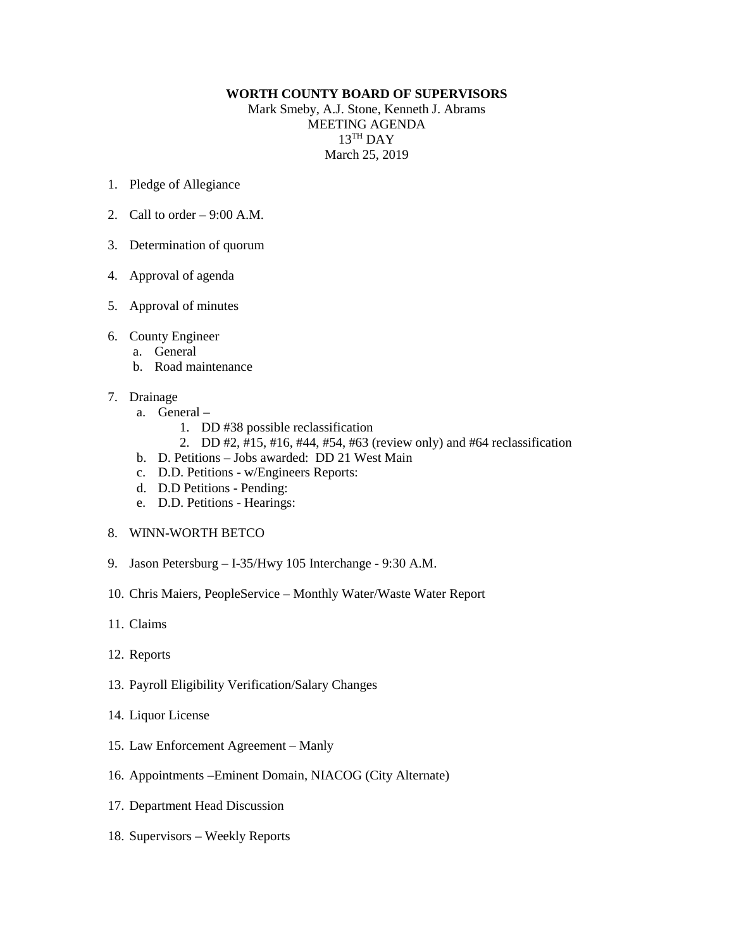## **WORTH COUNTY BOARD OF SUPERVISORS**

Mark Smeby, A.J. Stone, Kenneth J. Abrams MEETING AGENDA 13TH DAY March 25, 2019

- 1. Pledge of Allegiance
- 2. Call to order  $-9:00$  A.M.
- 3. Determination of quorum
- 4. Approval of agenda
- 5. Approval of minutes
- 6. County Engineer
	- a. General
	- b. Road maintenance
- 7. Drainage
	- a. General
		- 1. DD #38 possible reclassification
		- 2. DD #2, #15, #16, #44, #54, #63 (review only) and #64 reclassification
	- b. D. Petitions Jobs awarded: DD 21 West Main
	- c. D.D. Petitions w/Engineers Reports:
	- d. D.D Petitions Pending:
	- e. D.D. Petitions Hearings:
- 8. WINN-WORTH BETCO
- 9. Jason Petersburg I-35/Hwy 105 Interchange 9:30 A.M.
- 10. Chris Maiers, PeopleService Monthly Water/Waste Water Report
- 11. Claims
- 12. Reports
- 13. Payroll Eligibility Verification/Salary Changes
- 14. Liquor License
- 15. Law Enforcement Agreement Manly
- 16. Appointments –Eminent Domain, NIACOG (City Alternate)
- 17. Department Head Discussion
- 18. Supervisors Weekly Reports